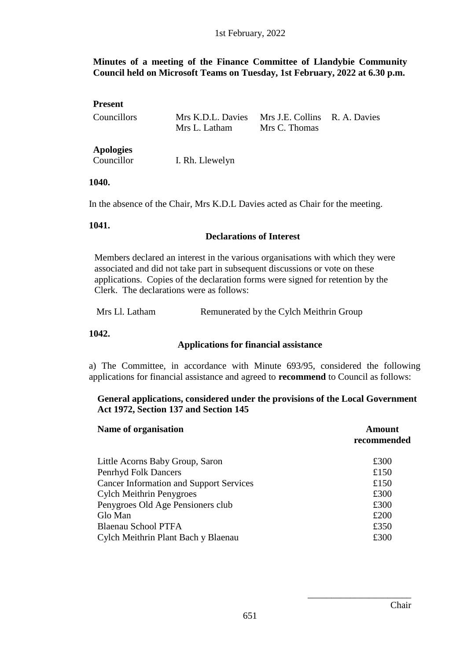# **Minutes of a meeting of the Finance Committee of Llandybie Community Council held on Microsoft Teams on Tuesday, 1st February, 2022 at 6.30 p.m.**

| <b>Present</b>                 |                                    |                                                |  |
|--------------------------------|------------------------------------|------------------------------------------------|--|
| Councillors                    | Mrs K.D.L. Davies<br>Mrs L. Latham | Mrs J.E. Collins R. A. Davies<br>Mrs C. Thomas |  |
| <b>Apologies</b><br>Councillor | I. Rh. Llewelyn                    |                                                |  |

#### **1040.**

In the absence of the Chair, Mrs K.D.L Davies acted as Chair for the meeting.

#### **1041.**

#### **Declarations of Interest**

Members declared an interest in the various organisations with which they were associated and did not take part in subsequent discussions or vote on these applications. Copies of the declaration forms were signed for retention by the Clerk. The declarations were as follows:

Mrs Ll. Latham Remunerated by the Cylch Meithrin Group

**1042.**

#### **Applications for financial assistance**

a) The Committee, in accordance with Minute 693/95, considered the following applications for financial assistance and agreed to **recommend** to Council as follows:

#### **General applications, considered under the provisions of the Local Government Act 1972, Section 137 and Section 145**

| Name of organisation                           | <b>Amount</b><br>recommended |
|------------------------------------------------|------------------------------|
| Little Acorns Baby Group, Saron                | £300                         |
| Penrhyd Folk Dancers                           | £150                         |
| <b>Cancer Information and Support Services</b> | £150                         |
| <b>Cylch Meithrin Penygroes</b>                | £300                         |
| Penygroes Old Age Pensioners club              | £300                         |
| Glo Man                                        | £200                         |
| <b>Blaenau School PTFA</b>                     | £350                         |
| Cylch Meithrin Plant Bach y Blaenau            | £300                         |

\_\_\_\_\_\_\_\_\_\_\_\_\_\_\_\_\_\_\_\_\_\_